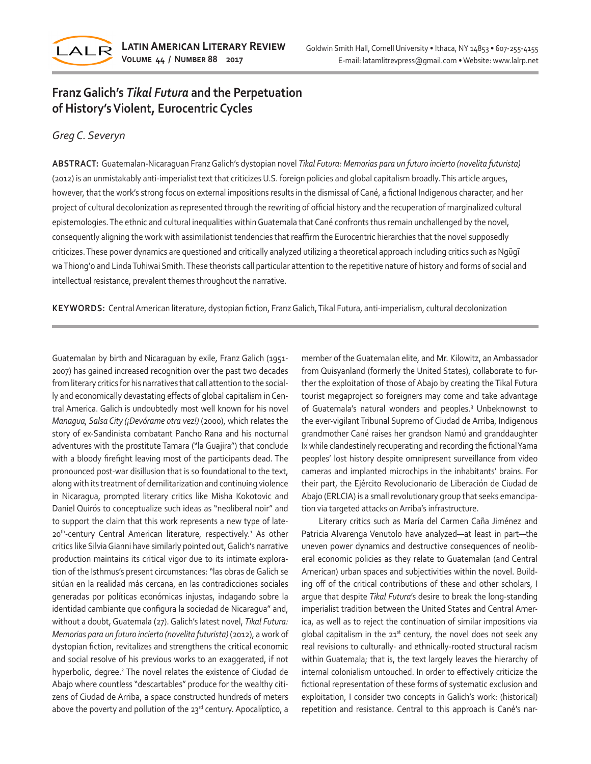

## **Franz Galich's** *Tikal Futura* **and the Perpetuation of History's Violent, Eurocentric Cycles**

## *Greg C. Severyn*

**ABSTRACT:** Guatemalan-Nicaraguan Franz Galich's dystopian novel *Tikal Futura: Memorias para un futuro incierto (novelita futurista)* (2012) is an unmistakably anti-imperialist text that criticizes U.S. foreign policies and global capitalism broadly. This article argues, however, that the work's strong focus on external impositions results in the dismissal of Cané, a fictional Indigenous character, and her project of cultural decolonization as represented through the rewriting of official history and the recuperation of marginalized cultural epistemologies. The ethnic and cultural inequalities within Guatemala that Cané confronts thus remain unchallenged by the novel, consequently aligning the work with assimilationist tendencies that reaffirm the Eurocentric hierarchies that the novel supposedly criticizes. These power dynamics are questioned and critically analyzed utilizing a theoretical approach including critics such as Ngũgĩ wa Thiong'o and Linda Tuhiwai Smith. These theorists call particular attention to the repetitive nature of history and forms of social and intellectual resistance, prevalent themes throughout the narrative.

**KEYWORDS:** Central American literature, dystopian fiction, Franz Galich, Tikal Futura, anti-imperialism, cultural decolonization

Guatemalan by birth and Nicaraguan by exile, Franz Galich (1951- 2007) has gained increased recognition over the past two decades from literary critics for his narratives that call attention to the socially and economically devastating effects of global capitalism in Central America. Galich is undoubtedly most well known for his novel *Managua, Salsa City (¡Devórame otra vez!)* (2000), which relates the story of ex-Sandinista combatant Pancho Rana and his nocturnal adventures with the prostitute Tamara ("la Guajira") that conclude with a bloody firefight leaving most of the participants dead. The pronounced post-war disillusion that is so foundational to the text, along with its treatment of demilitarization and continuing violence in Nicaragua, prompted literary critics like Misha Kokotovic and Daniel Quirós to conceptualize such ideas as "neoliberal noir" and to support the claim that this work represents a new type of late-20<sup>th</sup>-century Central American literature, respectively.<sup>1</sup> As other critics like Silvia Gianni have similarly pointed out, Galich's narrative production maintains its critical vigor due to its intimate exploration of the Isthmus's present circumstances: "las obras de Galich se sitúan en la realidad más cercana, en las contradicciones sociales generadas por políticas económicas injustas, indagando sobre la identidad cambiante que configura la sociedad de Nicaragua" and, without a doubt, Guatemala (27). Galich's latest novel, *Tikal Futura: Memorias para un futuro incierto (novelita futurista)* (2012), a work of dystopian fiction, revitalizes and strengthens the critical economic and social resolve of his previous works to an exaggerated, if not hyperbolic, degree.<sup>2</sup> The novel relates the existence of Ciudad de Abajo where countless "descartables" produce for the wealthy citizens of Ciudad de Arriba, a space constructed hundreds of meters above the poverty and pollution of the 23rd century. Apocalíptico, a

member of the Guatemalan elite, and Mr. Kilowitz, an Ambassador from Quisyanland (formerly the United States), collaborate to further the exploitation of those of Abajo by creating the Tikal Futura tourist megaproject so foreigners may come and take advantage of Guatemala's natural wonders and peoples.<sup>3</sup> Unbeknownst to the ever-vigilant Tribunal Supremo of Ciudad de Arriba, Indigenous grandmother Cané raises her grandson Namú and granddaughter Ix while clandestinely recuperating and recording the fictional Yama peoples' lost history despite omnipresent surveillance from video cameras and implanted microchips in the inhabitants' brains. For their part, the Ejército Revolucionario de Liberación de Ciudad de Abajo (ERLCIA) is a small revolutionary group that seeks emancipation via targeted attacks on Arriba's infrastructure.

Literary critics such as María del Carmen Caña Jiménez and Patricia Alvarenga Venutolo have analyzed—at least in part—the uneven power dynamics and destructive consequences of neoliberal economic policies as they relate to Guatemalan (and Central American) urban spaces and subjectivities within the novel. Building off of the critical contributions of these and other scholars, I argue that despite *Tikal Futura*'s desire to break the long-standing imperialist tradition between the United States and Central America, as well as to reject the continuation of similar impositions via global capitalism in the  $21<sup>st</sup>$  century, the novel does not seek any real revisions to culturally- and ethnically-rooted structural racism within Guatemala; that is, the text largely leaves the hierarchy of internal colonialism untouched. In order to effectively criticize the fictional representation of these forms of systematic exclusion and exploitation, I consider two concepts in Galich's work: (historical) repetition and resistance. Central to this approach is Cané's nar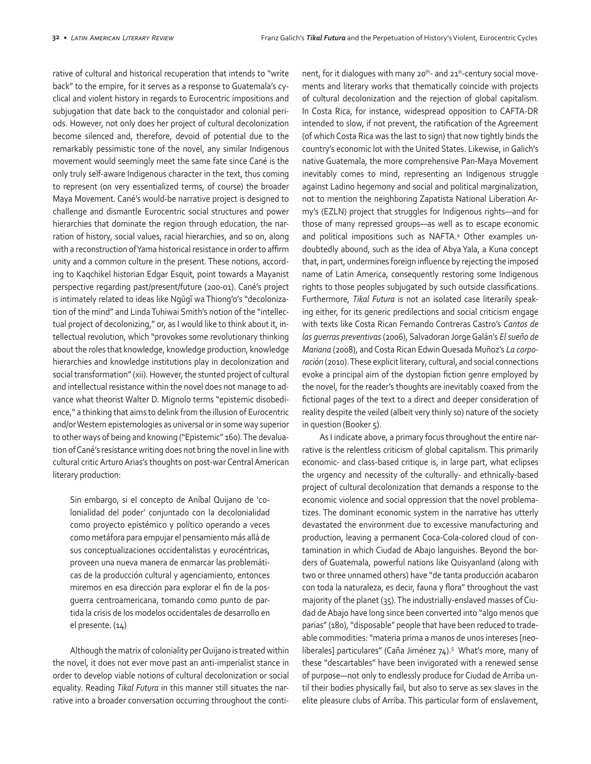rative of cultural and historical recuperation that intends to "write back" to the empire, for it serves as a response to Guatemala's cyclical and violent history in regards to Eurocentric impositions and subjugation that date back to the conquistador and colonial periods. However, not only does her project of cultural decolonization become silenced and, therefore, devoid of potential due to the remarkably pessimistic tone of the novel, any similar Indigenous movement would seemingly meet the same fate since Cané is the only truly self-aware Indigenous character in the text, thus coming to represent (on very essentialized terms, of course) the broader Maya Movement. Cané's would-be narrative project is designed to challenge and dismantle Eurocentric social structures and power hierarchies that dominate the region through education, the narration of history, social values, racial hierarchies, and so on, along with a reconstruction of Yama historical resistance in order to affirm unity and a common culture in the present. These notions, according to Kaqchikel historian Edgar Esquit, point towards a Mayanist perspective regarding past/present/future (200-01). Cané's project is intimately related to ideas like Ngũgĩ wa Thiong'o's "decolonization of the mind" and Linda Tuhiwai Smith's notion of the "intellectual project of decolonizing," or, as I would like to think about it, intellectual revolution, which "provokes some revolutionary thinking about the roles that knowledge, knowledge production, knowledge hierarchies and knowledge institutions play in decolonization and social transformation" (xii). However, the stunted project of cultural and intellectual resistance within the novel does not manage to advance what theorist Walter D. Mignolo terms "epistemic disobedience," a thinking that aims to delink from the illusion of Eurocentric and/or Western epistemologies as universal or in some way superior to other ways of being and knowing ("Epistemic" 160). The devaluation of Cané's resistance writing does not bring the novel in line with cultural critic Arturo Arias's thoughts on post-war Central American literary production:

Sin embargo, si el concepto de Aníbal Quijano de 'colonialidad del poder' conjuntado con la decolonialidad como proyecto epistémico y político operando a veces como metáfora para empujar el pensamiento más allá de sus conceptualizaciones occidentalistas y eurocéntricas, proveen una nueva manera de enmarcar las problemáticas de la producción cultural y agenciamiento, entonces miremos en esa dirección para explorar el fin de la posguerra centroamericana, tomando como punto de partida la crisis de los modelos occidentales de desarrollo en el presente. (14)

Although the matrix of coloniality per Quijano is treated within the novel, it does not ever move past an anti-imperialist stance in order to develop viable notions of cultural decolonization or social equality. Reading *Tikal Futura* in this manner still situates the narrative into a broader conversation occurring throughout the continent, for it dialogues with many  $20^{th}$ - and  $21^{st}$ -century social movements and literary works that thematically coincide with projects of cultural decolonization and the rejection of global capitalism. In Costa Rica, for instance, widespread opposition to CAFTA-DR intended to slow, if not prevent, the ratification of the Agreement (of which Costa Rica was the last to sign) that now tightly binds the country's economic lot with the United States. Likewise, in Galich's native Guatemala, the more comprehensive Pan-Maya Movement inevitably comes to mind, representing an Indigenous struggle against Ladino hegemony and social and political marginalization, not to mention the neighboring Zapatista National Liberation Army's (EZLN) project that struggles for Indigenous rights—and for those of many repressed groups—as well as to escape economic and political impositions such as NAFTA.4 Other examples undoubtedly abound, such as the idea of Abya Yala, a Kuna concept that, in part, undermines foreign influence by rejecting the imposed name of Latin America, consequently restoring some Indigenous rights to those peoples subjugated by such outside classifications. Furthermore, *Tikal Futura* is not an isolated case literarily speaking either, for its generic predilections and social criticism engage with texts like Costa Rican Fernando Contreras Castro's *Cantos de las guerras preventivas* (2006), Salvadoran Jorge Galán's *El sueño de Mariana* (2008), and Costa Rican Edwin Quesada Muñoz's *La corporación* (2010). These explicit literary, cultural, and social connections evoke a principal aim of the dystopian fiction genre employed by the novel, for the reader's thoughts are inevitably coaxed from the fictional pages of the text to a direct and deeper consideration of reality despite the veiled (albeit very thinly so) nature of the society in question (Booker 5).

As I indicate above, a primary focus throughout the entire narrative is the relentless criticism of global capitalism. This primarily economic- and class-based critique is, in large part, what eclipses the urgency and necessity of the culturally- and ethnically-based project of cultural decolonization that demands a response to the economic violence and social oppression that the novel problematizes. The dominant economic system in the narrative has utterly devastated the environment due to excessive manufacturing and production, leaving a permanent Coca-Cola-colored cloud of contamination in which Ciudad de Abajo languishes. Beyond the borders of Guatemala, powerful nations like Quisyanland (along with two or three unnamed others) have "de tanta producción acabaron con toda la naturaleza, es decir, fauna y flora" throughout the vast majority of the planet (35). The industrially-enslaved masses of Ciudad de Abajo have long since been converted into "algo menos que parias" (180), "disposable" people that have been reduced to tradeable commodities: "materia prima a manos de unos intereses [neoliberales] particulares" (Caña Jiménez 74).<sup>5</sup> What's more, many of these "descartables" have been invigorated with a renewed sense of purpose—not only to endlessly produce for Ciudad de Arriba until their bodies physically fail, but also to serve as sex slaves in the elite pleasure clubs of Arriba. This particular form of enslavement,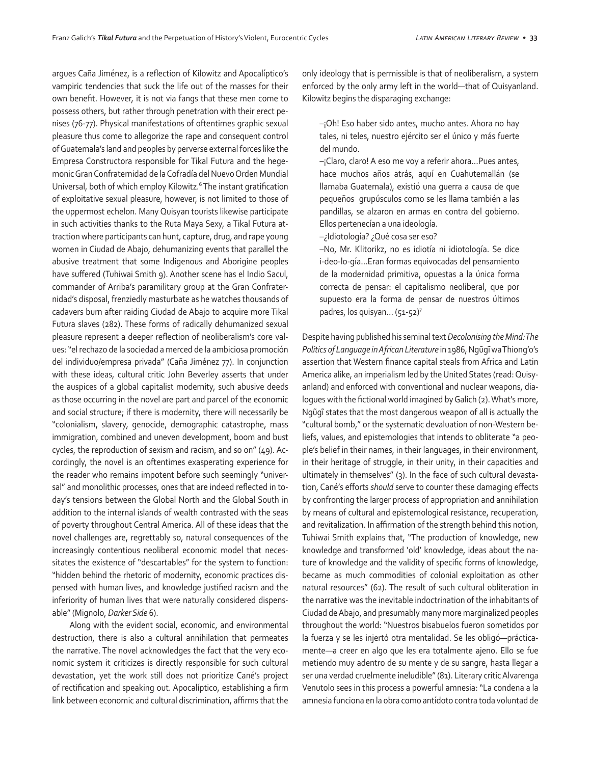argues Caña Jiménez, is a reflection of Kilowitz and Apocalíptico's vampiric tendencies that suck the life out of the masses for their own benefit. However, it is not via fangs that these men come to possess others, but rather through penetration with their erect penises (76-77). Physical manifestations of oftentimes graphic sexual pleasure thus come to allegorize the rape and consequent control of Guatemala's land and peoples by perverse external forces like the Empresa Constructora responsible for Tikal Futura and the hegemonic Gran Confraternidad de la Cofradía del Nuevo Orden Mundial Universal, both of which employ Kilowitz.<sup>6</sup> The instant gratification of exploitative sexual pleasure, however, is not limited to those of the uppermost echelon. Many Quisyan tourists likewise participate in such activities thanks to the Ruta Maya Sexy, a Tikal Futura attraction where participants can hunt, capture, drug, and rape young women in Ciudad de Abajo, dehumanizing events that parallel the abusive treatment that some Indigenous and Aborigine peoples have suffered (Tuhiwai Smith 9). Another scene has el Indio Sacul, commander of Arriba's paramilitary group at the Gran Confraternidad's disposal, frenziedly masturbate as he watches thousands of cadavers burn after raiding Ciudad de Abajo to acquire more Tikal Futura slaves (282). These forms of radically dehumanized sexual pleasure represent a deeper reflection of neoliberalism's core values: "el rechazo de la sociedad a merced de la ambiciosa promoción del individuo/empresa privada" (Caña Jiménez 77). In conjunction with these ideas, cultural critic John Beverley asserts that under the auspices of a global capitalist modernity, such abusive deeds as those occurring in the novel are part and parcel of the economic and social structure; if there is modernity, there will necessarily be "colonialism, slavery, genocide, demographic catastrophe, mass immigration, combined and uneven development, boom and bust cycles, the reproduction of sexism and racism, and so on" (49). Accordingly, the novel is an oftentimes exasperating experience for the reader who remains impotent before such seemingly "universal" and monolithic processes, ones that are indeed reflected in today's tensions between the Global North and the Global South in addition to the internal islands of wealth contrasted with the seas of poverty throughout Central America. All of these ideas that the novel challenges are, regrettably so, natural consequences of the increasingly contentious neoliberal economic model that necessitates the existence of "descartables" for the system to function: "hidden behind the rhetoric of modernity, economic practices dispensed with human lives, and knowledge justified racism and the inferiority of human lives that were naturally considered dispensable" (Mignolo, *Darker Side* 6).

Along with the evident social, economic, and environmental destruction, there is also a cultural annihilation that permeates the narrative. The novel acknowledges the fact that the very economic system it criticizes is directly responsible for such cultural devastation, yet the work still does not prioritize Cané's project of rectification and speaking out. Apocalíptico, establishing a firm link between economic and cultural discrimination, affirms that the only ideology that is permissible is that of neoliberalism, a system enforced by the only army left in the world—that of Quisyanland. Kilowitz begins the disparaging exchange:

–¡Oh! Eso haber sido antes, mucho antes. Ahora no hay tales, ni teles, nuestro ejército ser el único y más fuerte del mundo.

–¡Claro, claro! A eso me voy a referir ahora…Pues antes, hace muchos años atrás, aquí en Cuahutemallán (se llamaba Guatemala), existió una guerra a causa de que pequeños grupúsculos como se les llama también a las pandillas, se alzaron en armas en contra del gobierno. Ellos pertenecían a una ideología.

–¿Idiotología? ¿Qué cosa ser eso?

–No, Mr. Klitorikz, no es idiotía ni idiotología. Se dice i-deo-lo-gía…Eran formas equivocadas del pensamiento de la modernidad primitiva, opuestas a la única forma correcta de pensar: el capitalismo neoliberal, que por supuesto era la forma de pensar de nuestros últimos padres, los quisyan… (51-52)7

Despite having published his seminal text *Decolonising the Mind: The Politics of Language in African Literature* in 1986, Ngũgĩ wa Thiong'o's assertion that Western finance capital steals from Africa and Latin America alike, an imperialism led by the United States (read: Quisyanland) and enforced with conventional and nuclear weapons, dialogues with the fictional world imagined by Galich (2). What's more, Ngũgĩ states that the most dangerous weapon of all is actually the "cultural bomb," or the systematic devaluation of non-Western beliefs, values, and epistemologies that intends to obliterate "a people's belief in their names, in their languages, in their environment, in their heritage of struggle, in their unity, in their capacities and ultimately in themselves" (3). In the face of such cultural devastation, Cané's efforts *should* serve to counter these damaging effects by confronting the larger process of appropriation and annihilation by means of cultural and epistemological resistance, recuperation, and revitalization. In affirmation of the strength behind this notion, Tuhiwai Smith explains that, "The production of knowledge, new knowledge and transformed 'old' knowledge, ideas about the nature of knowledge and the validity of specific forms of knowledge, became as much commodities of colonial exploitation as other natural resources" (62). The result of such cultural obliteration in the narrative was the inevitable indoctrination of the inhabitants of Ciudad de Abajo, and presumably many more marginalized peoples throughout the world: "Nuestros bisabuelos fueron sometidos por la fuerza y se les injertó otra mentalidad. Se les obligó—prácticamente—a creer en algo que les era totalmente ajeno. Ello se fue metiendo muy adentro de su mente y de su sangre, hasta llegar a ser una verdad cruelmente ineludible" (81). Literary critic Alvarenga Venutolo sees in this process a powerful amnesia: "La condena a la amnesia funciona en la obra como antídoto contra toda voluntad de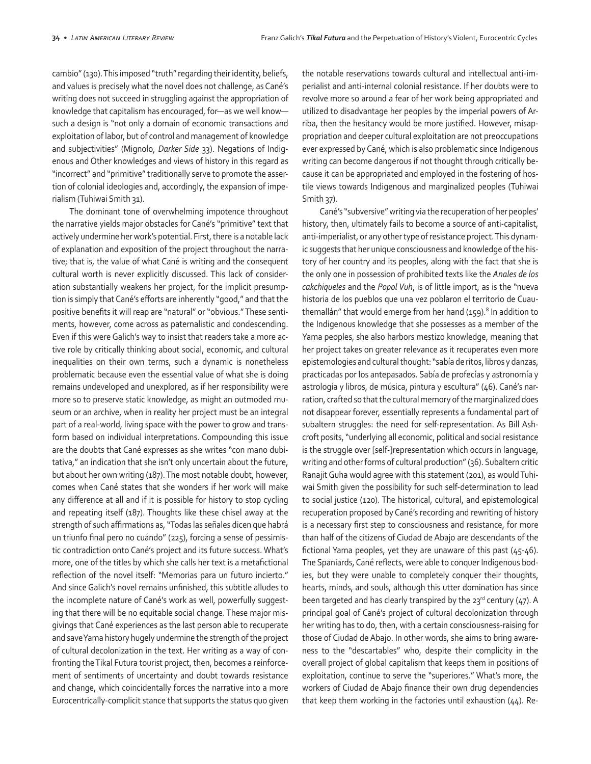cambio" (130). This imposed "truth" regarding their identity, beliefs, and values is precisely what the novel does not challenge, as Cané's writing does not succeed in struggling against the appropriation of knowledge that capitalism has encouraged, for—as we well know such a design is "not only a domain of economic transactions and exploitation of labor, but of control and management of knowledge and subjectivities" (Mignolo, *Darker Side* 33). Negations of Indigenous and Other knowledges and views of history in this regard as "incorrect" and "primitive" traditionally serve to promote the assertion of colonial ideologies and, accordingly, the expansion of imperialism (Tuhiwai Smith 31).

The dominant tone of overwhelming impotence throughout the narrative yields major obstacles for Cané's "primitive" text that actively undermine her work's potential. First, there is a notable lack of explanation and exposition of the project throughout the narrative; that is, the value of what Cané is writing and the consequent cultural worth is never explicitly discussed. This lack of consideration substantially weakens her project, for the implicit presumption is simply that Cané's efforts are inherently "good," and that the positive benefits it will reap are "natural" or "obvious." These sentiments, however, come across as paternalistic and condescending. Even if this were Galich's way to insist that readers take a more active role by critically thinking about social, economic, and cultural inequalities on their own terms, such a dynamic is nonetheless problematic because even the essential value of what she is doing remains undeveloped and unexplored, as if her responsibility were more so to preserve static knowledge, as might an outmoded museum or an archive, when in reality her project must be an integral part of a real-world, living space with the power to grow and transform based on individual interpretations. Compounding this issue are the doubts that Cané expresses as she writes "con mano dubitativa," an indication that she isn't only uncertain about the future, but about her own writing (187). The most notable doubt, however, comes when Cané states that she wonders if her work will make any difference at all and if it is possible for history to stop cycling and repeating itself (187). Thoughts like these chisel away at the strength of such affirmations as, "Todas las señales dicen que habrá un triunfo final pero no cuándo" (225), forcing a sense of pessimistic contradiction onto Cané's project and its future success. What's more, one of the titles by which she calls her text is a metafictional reflection of the novel itself: "Memorias para un futuro incierto." And since Galich's novel remains unfinished, this subtitle alludes to the incomplete nature of Cané's work as well, powerfully suggesting that there will be no equitable social change. These major misgivings that Cané experiences as the last person able to recuperate and save Yama history hugely undermine the strength of the project of cultural decolonization in the text. Her writing as a way of confronting the Tikal Futura tourist project, then, becomes a reinforcement of sentiments of uncertainty and doubt towards resistance and change, which coincidentally forces the narrative into a more Eurocentrically-complicit stance that supports the status quo given the notable reservations towards cultural and intellectual anti-imperialist and anti-internal colonial resistance. If her doubts were to revolve more so around a fear of her work being appropriated and utilized to disadvantage her peoples by the imperial powers of Arriba, then the hesitancy would be more justified. However, misappropriation and deeper cultural exploitation are not preoccupations ever expressed by Cané, which is also problematic since Indigenous writing can become dangerous if not thought through critically because it can be appropriated and employed in the fostering of hostile views towards Indigenous and marginalized peoples (Tuhiwai Smith 37).

Cané's "subversive" writing via the recuperation of her peoples' history, then, ultimately fails to become a source of anti-capitalist, anti-imperialist, or any other type of resistance project. This dynamic suggests that her unique consciousness and knowledge of the history of her country and its peoples, along with the fact that she is the only one in possession of prohibited texts like the *Anales de los cakchiqueles* and the *Popol Vuh*, is of little import, as is the "nueva historia de los pueblos que una vez poblaron el territorio de Cuauthemallán" that would emerge from her hand (159).<sup>8</sup> In addition to the Indigenous knowledge that she possesses as a member of the Yama peoples, she also harbors mestizo knowledge, meaning that her project takes on greater relevance as it recuperates even more epistemologies and cultural thought: "sabía de ritos, libros y danzas, practicadas por los antepasados. Sabía de profecías y astronomía y astrología y libros, de música, pintura y escultura" (46). Cané's narration, crafted so that the cultural memory of the marginalized does not disappear forever, essentially represents a fundamental part of subaltern struggles: the need for self-representation. As Bill Ashcroft posits, "underlying all economic, political and social resistance is the struggle over [self-]representation which occurs in language, writing and other forms of cultural production" (36). Subaltern critic Ranajit Guha would agree with this statement (201), as would Tuhiwai Smith given the possibility for such self-determination to lead to social justice (120). The historical, cultural, and epistemological recuperation proposed by Cané's recording and rewriting of history is a necessary first step to consciousness and resistance, for more than half of the citizens of Ciudad de Abajo are descendants of the fictional Yama peoples, yet they are unaware of this past (45-46). The Spaniards, Cané reflects, were able to conquer Indigenous bodies, but they were unable to completely conquer their thoughts, hearts, minds, and souls, although this utter domination has since been targeted and has clearly transpired by the  $23^{rd}$  century (47). A principal goal of Cané's project of cultural decolonization through her writing has to do, then, with a certain consciousness-raising for those of Ciudad de Abajo. In other words, she aims to bring awareness to the "descartables" who, despite their complicity in the overall project of global capitalism that keeps them in positions of exploitation, continue to serve the "superiores." What's more, the workers of Ciudad de Abajo finance their own drug dependencies that keep them working in the factories until exhaustion (44). Re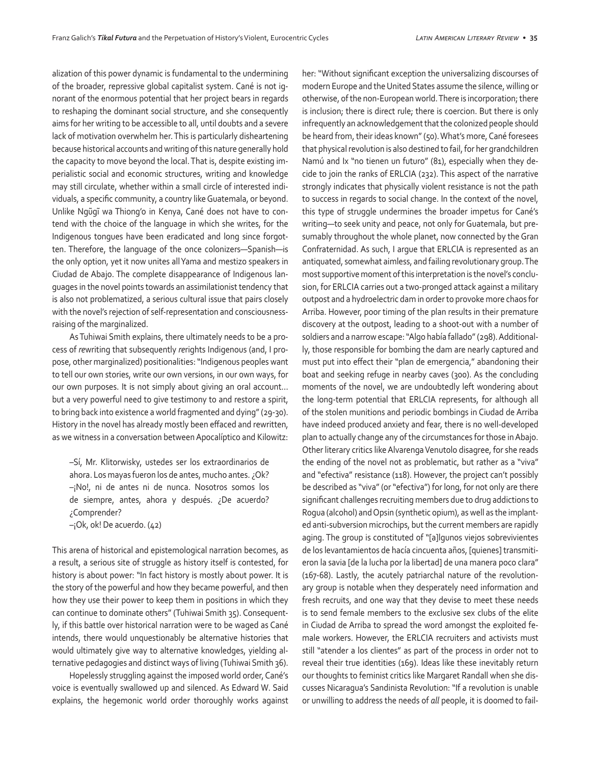alization of this power dynamic is fundamental to the undermining of the broader, repressive global capitalist system. Cané is not ignorant of the enormous potential that her project bears in regards to reshaping the dominant social structure, and she consequently aims for her writing to be accessible to all, until doubts and a severe lack of motivation overwhelm her. This is particularly disheartening because historical accounts and writing of this nature generally hold the capacity to move beyond the local. That is, despite existing imperialistic social and economic structures, writing and knowledge may still circulate, whether within a small circle of interested individuals, a specific community, a country like Guatemala, or beyond. Unlike Ngũgĩ wa Thiong'o in Kenya, Cané does not have to contend with the choice of the language in which she writes, for the Indigenous tongues have been eradicated and long since forgotten. Therefore, the language of the once colonizers—Spanish—is the only option, yet it now unites all Yama and mestizo speakers in Ciudad de Abajo. The complete disappearance of Indigenous languages in the novel points towards an assimilationist tendency that is also not problematized, a serious cultural issue that pairs closely with the novel's rejection of self-representation and consciousnessraising of the marginalized.

As Tuhiwai Smith explains, there ultimately needs to be a process of *re*writing that subsequently *re*rights Indigenous (and, I propose, other marginalized) positionalities: "Indigenous peoples want to tell our own stories, write our own versions, in our own ways, for our own purposes. It is not simply about giving an oral account… but a very powerful need to give testimony to and restore a spirit, to bring back into existence a world fragmented and dying" (29-30). History in the novel has already mostly been effaced and rewritten, as we witness in a conversation between Apocalíptico and Kilowitz:

–Sí, Mr. Klitorwisky, ustedes ser los extraordinarios de ahora. Los mayas fueron los de antes, mucho antes. ¿Ok? –¡No!, ni de antes ni de nunca. Nosotros somos los de siempre, antes, ahora y después. ¿De acuerdo? ¿Comprender?

–¡Ok, ok! De acuerdo. (42)

This arena of historical and epistemological narration becomes, as a result, a serious site of struggle as history itself is contested, for history is about power: "In fact history is mostly about power. It is the story of the powerful and how they became powerful, and then how they use their power to keep them in positions in which they can continue to dominate others" (Tuhiwai Smith 35). Consequently, if this battle over historical narration were to be waged as Cané intends, there would unquestionably be alternative histories that would ultimately give way to alternative knowledges, yielding alternative pedagogies and distinct ways of living (Tuhiwai Smith 36).

Hopelessly struggling against the imposed world order, Cané's voice is eventually swallowed up and silenced. As Edward W. Said explains, the hegemonic world order thoroughly works against her: "Without significant exception the universalizing discourses of modern Europe and the United States assume the silence, willing or otherwise, of the non-European world. There is incorporation; there is inclusion; there is direct rule; there is coercion. But there is only infrequently an acknowledgement that the colonized people should be heard from, their ideas known" (50). What's more, Cané foresees that physical revolution is also destined to fail, for her grandchildren Namú and Ix "no tienen un futuro" (81), especially when they decide to join the ranks of ERLCIA (232). This aspect of the narrative strongly indicates that physically violent resistance is not the path to success in regards to social change. In the context of the novel, this type of struggle undermines the broader impetus for Cané's writing—to seek unity and peace, not only for Guatemala, but presumably throughout the whole planet, now connected by the Gran Confraternidad. As such, I argue that ERLCIA is represented as an antiquated, somewhat aimless, and failing revolutionary group. The most supportive moment of this interpretation is the novel's conclusion, for ERLCIA carries out a two-pronged attack against a military outpost and a hydroelectric dam in order to provoke more chaos for Arriba. However, poor timing of the plan results in their premature discovery at the outpost, leading to a shoot-out with a number of soldiers and a narrow escape: "Algo había fallado" (298). Additionally, those responsible for bombing the dam are nearly captured and must put into effect their "plan de emergencia," abandoning their boat and seeking refuge in nearby caves (300). As the concluding moments of the novel, we are undoubtedly left wondering about the long-term potential that ERLCIA represents, for although all of the stolen munitions and periodic bombings in Ciudad de Arriba have indeed produced anxiety and fear, there is no well-developed plan to actually change any of the circumstances for those in Abajo. Other literary critics like Alvarenga Venutolo disagree, for she reads the ending of the novel not as problematic, but rather as a "viva" and "efectiva" resistance (118). However, the project can't possibly be described as "viva" (or "efectiva") for long, for not only are there significant challenges recruiting members due to drug addictions to Rogua (alcohol) and Opsin (synthetic opium), as well as the implanted anti-subversion microchips, but the current members are rapidly aging. The group is constituted of "[a]lgunos viejos sobrevivientes de los levantamientos de hacía cincuenta años, [quienes] transmitieron la savia [de la lucha por la libertad] de una manera poco clara" (167-68). Lastly, the acutely patriarchal nature of the revolutionary group is notable when they desperately need information and fresh recruits, and one way that they devise to meet these needs is to send female members to the exclusive sex clubs of the elite in Ciudad de Arriba to spread the word amongst the exploited female workers. However, the ERLCIA recruiters and activists must still "atender a los clientes" as part of the process in order not to reveal their true identities (169). Ideas like these inevitably return our thoughts to feminist critics like Margaret Randall when she discusses Nicaragua's Sandinista Revolution: "If a revolution is unable or unwilling to address the needs of *all* people, it is doomed to fail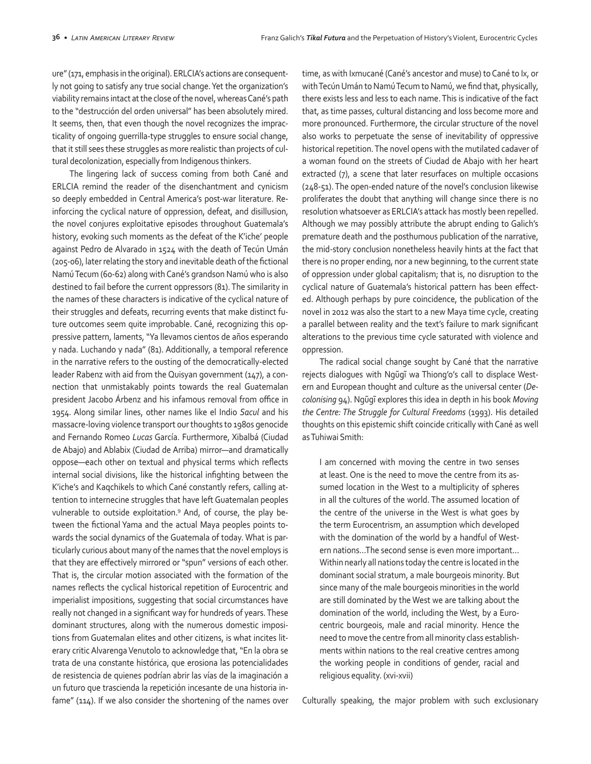ure" (171, emphasis in the original). ERLCIA's actions are consequently not going to satisfy any true social change. Yet the organization's viability remains intact at the close of the novel, whereas Cané's path to the "destrucción del orden universal" has been absolutely mired. It seems, then, that even though the novel recognizes the impracticality of ongoing guerrilla-type struggles to ensure social change, that it still sees these struggles as more realistic than projects of cultural decolonization, especially from Indigenous thinkers.

The lingering lack of success coming from both Cané and ERLCIA remind the reader of the disenchantment and cynicism so deeply embedded in Central America's post-war literature. Reinforcing the cyclical nature of oppression, defeat, and disillusion, the novel conjures exploitative episodes throughout Guatemala's history, evoking such moments as the defeat of the K'iche' people against Pedro de Alvarado in 1524 with the death of Tecún Umán (205-06), later relating the story and inevitable death of the fictional Namú Tecum (60-62) along with Cané's grandson Namú who is also destined to fail before the current oppressors (81). The similarity in the names of these characters is indicative of the cyclical nature of their struggles and defeats, recurring events that make distinct future outcomes seem quite improbable. Cané, recognizing this oppressive pattern, laments, "Ya llevamos cientos de años esperando y nada. Luchando y nada" (81). Additionally, a temporal reference in the narrative refers to the ousting of the democratically-elected leader Rabenz with aid from the Quisyan government (147), a connection that unmistakably points towards the real Guatemalan president Jacobo Árbenz and his infamous removal from office in 1954. Along similar lines, other names like el Indio *Sacul* and his massacre-loving violence transport our thoughts to 1980s genocide and Fernando Romeo *Lucas* García. Furthermore, Xibalbá (Ciudad de Abajo) and Ablabix (Ciudad de Arriba) mirror—and dramatically oppose—each other on textual and physical terms which reflects internal social divisions, like the historical infighting between the K'iche's and Kaqchikels to which Cané constantly refers, calling attention to internecine struggles that have left Guatemalan peoples vulnerable to outside exploitation.<sup>9</sup> And, of course, the play between the fictional Yama and the actual Maya peoples points towards the social dynamics of the Guatemala of today. What is particularly curious about many of the names that the novel employs is that they are effectively mirrored or "spun" versions of each other. That is, the circular motion associated with the formation of the names reflects the cyclical historical repetition of Eurocentric and imperialist impositions, suggesting that social circumstances have really not changed in a significant way for hundreds of years. These dominant structures, along with the numerous domestic impositions from Guatemalan elites and other citizens, is what incites literary critic Alvarenga Venutolo to acknowledge that, "En la obra se trata de una constante histórica, que erosiona las potencialidades de resistencia de quienes podrían abrir las vías de la imaginación a un futuro que trascienda la repetición incesante de una historia infame" (114). If we also consider the shortening of the names over time, as with Ixmucané (Cané's ancestor and muse) to Cané to Ix, or with Tecún Umán to Namú Tecum to Namú, we find that, physically, there exists less and less to each name. This is indicative of the fact that, as time passes, cultural distancing and loss become more and more pronounced. Furthermore, the circular structure of the novel also works to perpetuate the sense of inevitability of oppressive historical repetition. The novel opens with the mutilated cadaver of a woman found on the streets of Ciudad de Abajo with her heart extracted (7), a scene that later resurfaces on multiple occasions (248-51). The open-ended nature of the novel's conclusion likewise proliferates the doubt that anything will change since there is no resolution whatsoever as ERLCIA's attack has mostly been repelled. Although we may possibly attribute the abrupt ending to Galich's premature death and the posthumous publication of the narrative, the mid-story conclusion nonetheless heavily hints at the fact that there is no proper ending, nor a new beginning, to the current state of oppression under global capitalism; that is, no disruption to the cyclical nature of Guatemala's historical pattern has been effected. Although perhaps by pure coincidence, the publication of the novel in 2012 was also the start to a new Maya time cycle, creating a parallel between reality and the text's failure to mark significant alterations to the previous time cycle saturated with violence and oppression.

The radical social change sought by Cané that the narrative rejects dialogues with Ngũgĩ wa Thiong'o's call to displace Western and European thought and culture as the universal center (*Decolonising* 94). Ngũgĩ explores this idea in depth in his book *Moving the Centre: The Struggle for Cultural Freedoms* (1993). His detailed thoughts on this epistemic shift coincide critically with Cané as well as Tuhiwai Smith:

I am concerned with moving the centre in two senses at least. One is the need to move the centre from its assumed location in the West to a multiplicity of spheres in all the cultures of the world. The assumed location of the centre of the universe in the West is what goes by the term Eurocentrism, an assumption which developed with the domination of the world by a handful of Western nations…The second sense is even more important… Within nearly all nations today the centre is located in the dominant social stratum, a male bourgeois minority. But since many of the male bourgeois minorities in the world are still dominated by the West we are talking about the domination of the world, including the West, by a Eurocentric bourgeois, male and racial minority. Hence the need to move the centre from all minority class establishments within nations to the real creative centres among the working people in conditions of gender, racial and religious equality. (xvi-xvii)

Culturally speaking, the major problem with such exclusionary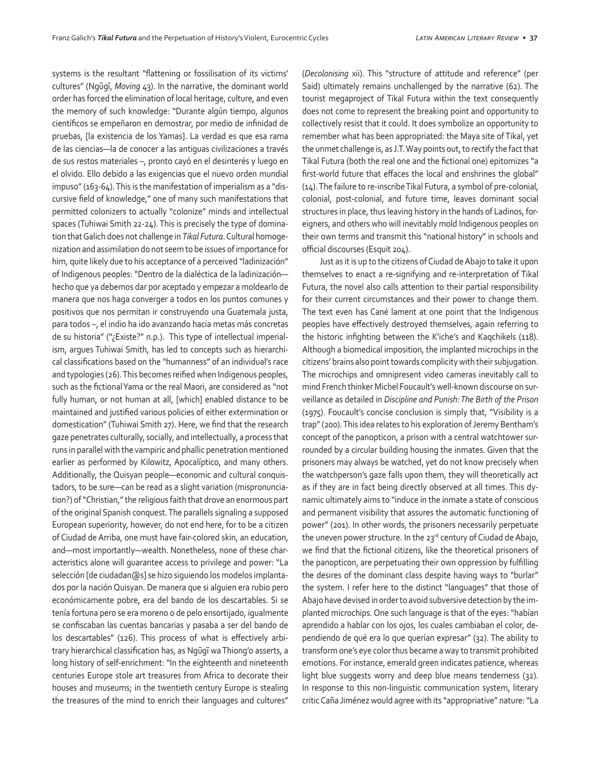systems is the resultant "flattening or fossilisation of its victims' cultures" (Ngũgĩ, *Moving* 43). In the narrative, the dominant world order has forced the elimination of local heritage, culture, and even the memory of such knowledge: "Durante algún tiempo, algunos científicos se empeñaron en demostrar, por medio de infinidad de pruebas, [la existencia de los Yamas]. La verdad es que esa rama de las ciencias—la de conocer a las antiguas civilizaciones a través de sus restos materiales –, pronto cayó en el desinterés y luego en el olvido. Ello debido a las exigencias que el nuevo orden mundial impuso" (163-64). This is the manifestation of imperialism as a "discursive field of knowledge," one of many such manifestations that permitted colonizers to actually "colonize" minds and intellectual spaces (Tuhiwai Smith 22-24). This is precisely the type of domination that Galich does not challenge in *Tikal Futura*. Cultural homogenization and assimilation do not seem to be issues of importance for him, quite likely due to his acceptance of a perceived "ladinización" of Indigenous peoples: "Dentro de la dialéctica de la ladinización hecho que ya debemos dar por aceptado y empezar a moldearlo de manera que nos haga converger a todos en los puntos comunes y positivos que nos permitan ir construyendo una Guatemala justa, para todos –, el indio ha ido avanzando hacia metas más concretas de su historia" ("¿Existe?" n.p.). This type of intellectual imperialism, argues Tuhiwai Smith, has led to concepts such as hierarchical classifications based on the "humanness" of an individual's race and typologies (26). This becomes reified when Indigenous peoples, such as the fictional Yama or the real Maori, are considered as "not fully human, or not human at all, [which] enabled distance to be maintained and justified various policies of either extermination or domestication" (Tuhiwai Smith 27). Here, we find that the research gaze penetrates culturally, socially, and intellectually, a process that runs in parallel with the vampiric and phallic penetration mentioned earlier as performed by Kilowitz, Apocalíptico, and many others. Additionally, the Quisyan people—economic and cultural conquistadors, to be sure—can be read as a slight variation (mispronunciation?) of "Christian," the religious faith that drove an enormous part of the original Spanish conquest. The parallels signaling a supposed European superiority, however, do not end here, for to be a citizen of Ciudad de Arriba, one must have fair-colored skin, an education, and—most importantly—wealth. Nonetheless, none of these characteristics alone will guarantee access to privilege and power: "La selección [de ciudadan@s] se hizo siguiendo los modelos implantados por la nación Quisyan. De manera que si alguien era rubio pero económicamente pobre, era del bando de los descartables. Si se tenía fortuna pero se era moreno o de pelo ensortijado, igualmente se confiscaban las cuentas bancarias y pasaba a ser del bando de los descartables" (126). This process of what is effectively arbitrary hierarchical classification has, as Ngũgĩ wa Thiong'o asserts, a long history of self-enrichment: "In the eighteenth and nineteenth centuries Europe stole art treasures from Africa to decorate their houses and museums; in the twentieth century Europe is stealing the treasures of the mind to enrich their languages and cultures"

(*Decolonising* xii). This "structure of attitude and reference" (per Said) ultimately remains unchallenged by the narrative (62). The tourist megaproject of Tikal Futura within the text consequently does not come to represent the breaking point and opportunity to collectively resist that it could. It does symbolize an opportunity to remember what has been appropriated: the Maya site of Tikal, yet the unmet challenge is, as J.T. Way points out, to rectify the fact that Tikal Futura (both the real one and the fictional one) epitomizes "a first-world future that effaces the local and enshrines the global" (14). The failure to re-inscribe Tikal Futura, a symbol of pre-colonial, colonial, post-colonial, and future time, leaves dominant social structures in place, thus leaving history in the hands of Ladinos, foreigners, and others who will inevitably mold Indigenous peoples on their own terms and transmit this "national history" in schools and official discourses (Esquit 204).

Just as it is up to the citizens of Ciudad de Abajo to take it upon themselves to enact a re-signifying and re-interpretation of Tikal Futura, the novel also calls attention to their partial responsibility for their current circumstances and their power to change them. The text even has Cané lament at one point that the Indigenous peoples have effectively destroyed themselves, again referring to the historic infighting between the K'iche's and Kaqchikels (118). Although a biomedical imposition, the implanted microchips in the citizens' brains also point towards complicity with their subjugation. The microchips and omnipresent video cameras inevitably call to mind French thinker Michel Foucault's well-known discourse on surveillance as detailed in *Discipline and Punish: The Birth of the Prison*  (1975). Foucault's concise conclusion is simply that, "Visibility is a trap" (200). This idea relates to his exploration of Jeremy Bentham's concept of the panopticon, a prison with a central watchtower surrounded by a circular building housing the inmates. Given that the prisoners may always be watched, yet do not know precisely when the watchperson's gaze falls upon them, they will theoretically act as if they are in fact being directly observed at all times. This dynamic ultimately aims to "induce in the inmate a state of conscious and permanent visibility that assures the automatic functioning of power" (201). In other words, the prisoners necessarily perpetuate the uneven power structure. In the 23rd century of Ciudad de Abajo, we find that the fictional citizens, like the theoretical prisoners of the panopticon, are perpetuating their own oppression by fulfilling the desires of the dominant class despite having ways to "burlar" the system. I refer here to the distinct "languages" that those of Abajo have devised in order to avoid subversive detection by the implanted microchips. One such language is that of the eyes: "habían aprendido a hablar con los ojos, los cuales cambiaban el color, dependiendo de qué era lo que querían expresar" (32). The ability to transform one's eye color thus became a way to transmit prohibited emotions. For instance, emerald green indicates patience, whereas light blue suggests worry and deep blue means tenderness (32). In response to this non-linguistic communication system, literary critic Caña Jiménez would agree with its "appropriative" nature: "La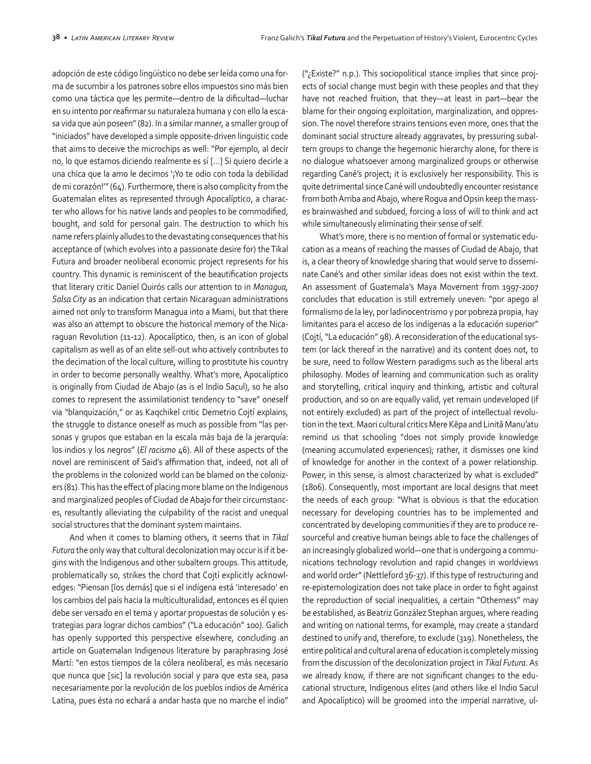adopción de este código lingüístico no debe ser leída como una forma de sucumbir a los patrones sobre ellos impuestos sino más bien como una táctica que les permite—dentro de la dificultad—luchar en su intento por reafirmar su naturaleza humana y con ello la escasa vida que aún poseen" (82). In a similar manner, a smaller group of "iniciados" have developed a simple opposite-driven linguistic code that aims to deceive the microchips as well: "Por ejemplo, al decir no, lo que estamos diciendo realmente es sí […] Si quiero decirle a una chica que la amo le decimos '¡Yo te odio con toda la debilidad de mi corazón!'" (64). Furthermore, there is also complicity from the Guatemalan elites as represented through Apocalíptico, a character who allows for his native lands and peoples to be commodified, bought, and sold for personal gain. The destruction to which his name refers plainly alludes to the devastating consequences that his acceptance of (which evolves into a passionate desire for) the Tikal Futura and broader neoliberal economic project represents for his country. This dynamic is reminiscent of the beautification projects that literary critic Daniel Quirós calls our attention to in *Managua, Salsa City* as an indication that certain Nicaraguan administrations aimed not only to transform Managua into a Miami, but that there was also an attempt to obscure the historical memory of the Nicaraguan Revolution (11-12). Apocalíptico, then, is an icon of global capitalism as well as of an elite sell-out who actively contributes to the decimation of the local culture, willing to prostitute his country in order to become personally wealthy. What's more, Apocalíptico is originally from Ciudad de Abajo (as is el Indio Sacul), so he also comes to represent the assimilationist tendency to "save" oneself via "blanquización," or as Kaqchikel critic Demetrio Cojtí explains, the struggle to distance oneself as much as possible from "las personas y grupos que estaban en la escala más baja de la jerarquía: los indios y los negros" (*El racismo* 46). All of these aspects of the novel are reminiscent of Said's affirmation that, indeed, not all of the problems in the colonized world can be blamed on the colonizers (81). This has the effect of placing more blame on the Indigenous and marginalized peoples of Ciudad de Abajo for their circumstances, resultantly alleviating the culpability of the racist and unequal social structures that the dominant system maintains.

And when it comes to blaming others, it seems that in *Tikal Futura* the only way that cultural decolonization may occur is if it begins with the Indigenous and other subaltern groups. This attitude, problematically so, strikes the chord that Cojtí explicitly acknowledges: "Piensan [los demás] que si el indígena está 'interesado' en los cambios del país hacia la multiculturalidad, entonces es él quien debe ser versado en el tema y aportar propuestas de solución y estrategias para lograr dichos cambios" ("La educación" 100). Galich has openly supported this perspective elsewhere, concluding an article on Guatemalan Indigenous literature by paraphrasing José Martí: "en estos tiempos de la cólera neoliberal, es más necesario que nunca que [sic] la revolución social y para que esta sea, pasa necesariamente por la revolución de los pueblos indios de América Latina, pues ésta no echará a andar hasta que no marche el indio"

("¿Existe?" n.p.). This sociopolitical stance implies that since projects of social change must begin with these peoples and that they have not reached fruition, that they—at least in part—bear the blame for their ongoing exploitation, marginalization, and oppression. The novel therefore strains tensions even more, ones that the dominant social structure already aggravates, by pressuring subaltern groups to change the hegemonic hierarchy alone, for there is no dialogue whatsoever among marginalized groups or otherwise regarding Cané's project; it is exclusively her responsibility. This is quite detrimental since Cané will undoubtedly encounter resistance from both Arriba and Abajo, where Rogua and Opsin keep the masses brainwashed and subdued, forcing a loss of will to think and act while simultaneously eliminating their sense of self.

What's more, there is no mention of formal or systematic education as a means of reaching the masses of Ciudad de Abajo, that is, a clear theory of knowledge sharing that would serve to disseminate Cané's and other similar ideas does not exist within the text. An assessment of Guatemala's Maya Movement from 1997-2007 concludes that education is still extremely uneven: "por apego al formalismo de la ley, por ladinocentrismo y por pobreza propia, hay limitantes para el acceso de los indígenas a la educación superior" (Cojtí, "La educación" 98). A reconsideration of the educational system (or lack thereof in the narrative) and its content does not, to be sure, need to follow Western paradigms such as the liberal arts philosophy. Modes of learning and communication such as orality and storytelling, critical inquiry and thinking, artistic and cultural production, and so on are equally valid, yet remain undeveloped (if not entirely excluded) as part of the project of intellectual revolution in the text. Maori cultural critics Mere Kēpa and Linitā Manu'atu remind us that schooling "does not simply provide knowledge (meaning accumulated experiences); rather, it dismisses one kind of knowledge for another in the context of a power relationship. Power, in this sense, is almost characterized by what is excluded" (1806). Consequently, most important are local designs that meet the needs of each group: "What is obvious is that the education necessary for developing countries has to be implemented and concentrated by developing communities if they are to produce resourceful and creative human beings able to face the challenges of an increasingly globalized world—one that is undergoing a communications technology revolution and rapid changes in worldviews and world order" (Nettleford 36-37). If this type of restructuring and re-epistemologization does not take place in order to fight against the reproduction of social inequalities, a certain "Otherness" may be established, as Beatriz González Stephan argues, where reading and writing on national terms, for example, may create a standard destined to unify and, therefore, to exclude (319). Nonetheless, the entire political and cultural arena of education is completely missing from the discussion of the decolonization project in *Tikal Futura*. As we already know, if there are not significant changes to the educational structure, Indigenous elites (and others like el Indio Sacul and Apocalíptico) will be groomed into the imperial narrative, ul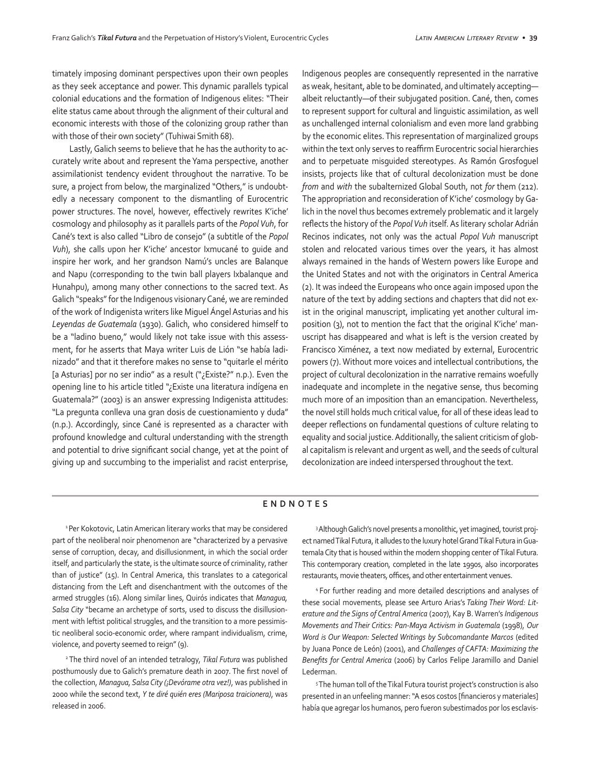timately imposing dominant perspectives upon their own peoples as they seek acceptance and power. This dynamic parallels typical colonial educations and the formation of Indigenous elites: "Their elite status came about through the alignment of their cultural and economic interests with those of the colonizing group rather than with those of their own society" (Tuhiwai Smith 68).

Lastly, Galich seems to believe that he has the authority to accurately write about and represent the Yama perspective, another assimilationist tendency evident throughout the narrative. To be sure, a project from below, the marginalized "Others," is undoubtedly a necessary component to the dismantling of Eurocentric power structures. The novel, however, effectively rewrites K'iche' cosmology and philosophy as it parallels parts of the *Popol Vuh*, for Cané's text is also called "Libro de consejo" (a subtitle of the *Popol Vuh*), she calls upon her K'iche' ancestor Ixmucané to guide and inspire her work, and her grandson Namú's uncles are Balanque and Napu (corresponding to the twin ball players Ixbalanque and Hunahpu), among many other connections to the sacred text. As Galich "speaks" for the Indigenous visionary Cané, we are reminded of the work of Indigenista writers like Miguel Ángel Asturias and his *Leyendas de Guatemala* (1930). Galich, who considered himself to be a "ladino bueno," would likely not take issue with this assessment, for he asserts that Maya writer Luis de Lión "se había ladinizado" and that it therefore makes no sense to "quitarle el mérito [a Asturias] por no ser indio" as a result ("¿Existe?" n.p.). Even the opening line to his article titled "¿Existe una literatura indígena en Guatemala?" (2003) is an answer expressing Indigenista attitudes: "La pregunta conlleva una gran dosis de cuestionamiento y duda" (n.p.). Accordingly, since Cané is represented as a character with profound knowledge and cultural understanding with the strength and potential to drive significant social change, yet at the point of giving up and succumbing to the imperialist and racist enterprise,

Indigenous peoples are consequently represented in the narrative as weak, hesitant, able to be dominated, and ultimately accepting albeit reluctantly—of their subjugated position. Cané, then, comes to represent support for cultural and linguistic assimilation, as well as unchallenged internal colonialism and even more land grabbing by the economic elites. This representation of marginalized groups within the text only serves to reaffirm Eurocentric social hierarchies and to perpetuate misguided stereotypes. As Ramón Grosfoguel insists, projects like that of cultural decolonization must be done *from* and *with* the subalternized Global South, not *for* them (212). The appropriation and reconsideration of K'iche' cosmology by Galich in the novel thus becomes extremely problematic and it largely reflects the history of the *Popol Vuh* itself. As literary scholar Adrián Recinos indicates, not only was the actual *Popol Vuh* manuscript stolen and relocated various times over the years, it has almost always remained in the hands of Western powers like Europe and the United States and not with the originators in Central America (2). It was indeed the Europeans who once again imposed upon the nature of the text by adding sections and chapters that did not exist in the original manuscript, implicating yet another cultural imposition (3), not to mention the fact that the original K'iche' manuscript has disappeared and what is left is the version created by Francisco Ximénez, a text now mediated by external, Eurocentric powers (7). Without more voices and intellectual contributions, the project of cultural decolonization in the narrative remains woefully inadequate and incomplete in the negative sense, thus becoming much more of an imposition than an emancipation. Nevertheless, the novel still holds much critical value, for all of these ideas lead to deeper reflections on fundamental questions of culture relating to equality and social justice. Additionally, the salient criticism of global capitalism is relevant and urgent as well, and the seeds of cultural decolonization are indeed interspersed throughout the text.

## **ENDNOTES**

<sup>1</sup> Per Kokotovic, Latin American literary works that may be considered part of the neoliberal noir phenomenon are "characterized by a pervasive sense of corruption, decay, and disillusionment, in which the social order itself, and particularly the state, is the ultimate source of criminality, rather than of justice" (15). In Central America, this translates to a categorical distancing from the Left and disenchantment with the outcomes of the armed struggles (16). Along similar lines, Quirós indicates that *Managua, Salsa City* "became an archetype of sorts, used to discuss the disillusionment with leftist political struggles, and the transition to a more pessimistic neoliberal socio-economic order, where rampant individualism, crime, violence, and poverty seemed to reign" (9).

2 The third novel of an intended tetralogy, *Tikal Futura* was published posthumously due to Galich's premature death in 2007. The first novel of the collection, *Managua, Salsa City (¡Devórame otra vez!)*, was published in 2000 while the second text, *Y te diré quién eres (Mariposa traicionera)*, was released in 2006.

<sup>3</sup> Although Galich's novel presents a monolithic, yet imagined, tourist project named Tikal Futura, it alludes to the luxury hotel Grand Tikal Futura in Guatemala City that is housed within the modern shopping center of Tikal Futura. This contemporary creation, completed in the late 1990s, also incorporates restaurants, movie theaters, offices, and other entertainment venues.

4 For further reading and more detailed descriptions and analyses of these social movements, please see Arturo Arias's *Taking Their Word: Literature and the Signs of Central America* (2007), Kay B. Warren's *Indigenous Movements and Their Critics: Pan-Maya Activism in Guatemala* (1998), *Our Word is Our Weapon: Selected Writings by Subcomandante Marcos* (edited by Juana Ponce de León) (2001), and *Challenges of CAFTA: Maximizing the Benefits for Central America* (2006) by Carlos Felipe Jaramillo and Daniel Lederman.

<sup>5</sup>The human toll of the Tikal Futura tourist project's construction is also presented in an unfeeling manner: "A esos costos [financieros y materiales] había que agregar los humanos, pero fueron subestimados por los esclavis